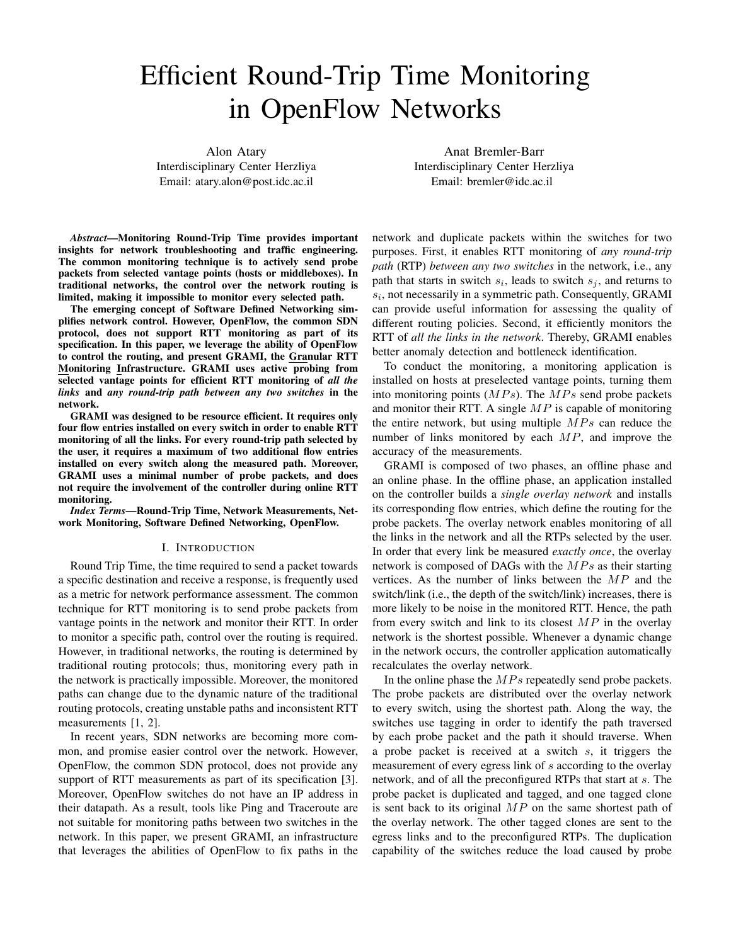# Efficient Round-Trip Time Monitoring in OpenFlow Networks

Alon Atary Interdisciplinary Center Herzliya Email: atary.alon@post.idc.ac.il

Anat Bremler-Barr Interdisciplinary Center Herzliya Email: bremler@idc.ac.il

*Abstract*—Monitoring Round-Trip Time provides important insights for network troubleshooting and traffic engineering. The common monitoring technique is to actively send probe packets from selected vantage points (hosts or middleboxes). In traditional networks, the control over the network routing is limited, making it impossible to monitor every selected path.

The emerging concept of Software Defined Networking simplifies network control. However, OpenFlow, the common SDN protocol, does not support RTT monitoring as part of its specification. In this paper, we leverage the ability of OpenFlow to control the routing, and present GRAMI, the Granular RTT Monitoring Infrastructure. GRAMI uses active probing from selected vantage points for efficient RTT monitoring of *all the links* and *any round-trip path between any two switches* in the network.

GRAMI was designed to be resource efficient. It requires only four flow entries installed on every switch in order to enable RTT monitoring of all the links. For every round-trip path selected by the user, it requires a maximum of two additional flow entries installed on every switch along the measured path. Moreover, GRAMI uses a minimal number of probe packets, and does not require the involvement of the controller during online RTT monitoring.

*Index Terms*—Round-Trip Time, Network Measurements, Network Monitoring, Software Defined Networking, OpenFlow.

#### I. INTRODUCTION

Round Trip Time, the time required to send a packet towards a specific destination and receive a response, is frequently used as a metric for network performance assessment. The common technique for RTT monitoring is to send probe packets from vantage points in the network and monitor their RTT. In order to monitor a specific path, control over the routing is required. However, in traditional networks, the routing is determined by traditional routing protocols; thus, monitoring every path in the network is practically impossible. Moreover, the monitored paths can change due to the dynamic nature of the traditional routing protocols, creating unstable paths and inconsistent RTT measurements [1, 2].

In recent years, SDN networks are becoming more common, and promise easier control over the network. However, OpenFlow, the common SDN protocol, does not provide any support of RTT measurements as part of its specification [3]. Moreover, OpenFlow switches do not have an IP address in their datapath. As a result, tools like Ping and Traceroute are not suitable for monitoring paths between two switches in the network. In this paper, we present GRAMI, an infrastructure that leverages the abilities of OpenFlow to fix paths in the

network and duplicate packets within the switches for two purposes. First, it enables RTT monitoring of *any round-trip path* (RTP) *between any two switches* in the network, i.e., any path that starts in switch  $s_i$ , leads to switch  $s_j$ , and returns to  $s_i$ , not necessarily in a symmetric path. Consequently, GRAMI can provide useful information for assessing the quality of different routing policies. Second, it efficiently monitors the RTT of *all the links in the network*. Thereby, GRAMI enables better anomaly detection and bottleneck identification.

To conduct the monitoring, a monitoring application is installed on hosts at preselected vantage points, turning them into monitoring points  $(MPs)$ . The  $MPs$  send probe packets and monitor their RTT. A single  $MP$  is capable of monitoring the entire network, but using multiple  $MPs$  can reduce the number of links monitored by each  $MP$ , and improve the accuracy of the measurements.

GRAMI is composed of two phases, an offline phase and an online phase. In the offline phase, an application installed on the controller builds a *single overlay network* and installs its corresponding flow entries, which define the routing for the probe packets. The overlay network enables monitoring of all the links in the network and all the RTPs selected by the user. In order that every link be measured *exactly once*, the overlay network is composed of DAGs with the  $MPs$  as their starting vertices. As the number of links between the  $MP$  and the switch/link (i.e., the depth of the switch/link) increases, there is more likely to be noise in the monitored RTT. Hence, the path from every switch and link to its closest  $MP$  in the overlay network is the shortest possible. Whenever a dynamic change in the network occurs, the controller application automatically recalculates the overlay network.

In the online phase the  $MPs$  repeatedly send probe packets. The probe packets are distributed over the overlay network to every switch, using the shortest path. Along the way, the switches use tagging in order to identify the path traversed by each probe packet and the path it should traverse. When a probe packet is received at a switch s, it triggers the measurement of every egress link of s according to the overlay network, and of all the preconfigured RTPs that start at s. The probe packet is duplicated and tagged, and one tagged clone is sent back to its original  $MP$  on the same shortest path of the overlay network. The other tagged clones are sent to the egress links and to the preconfigured RTPs. The duplication capability of the switches reduce the load caused by probe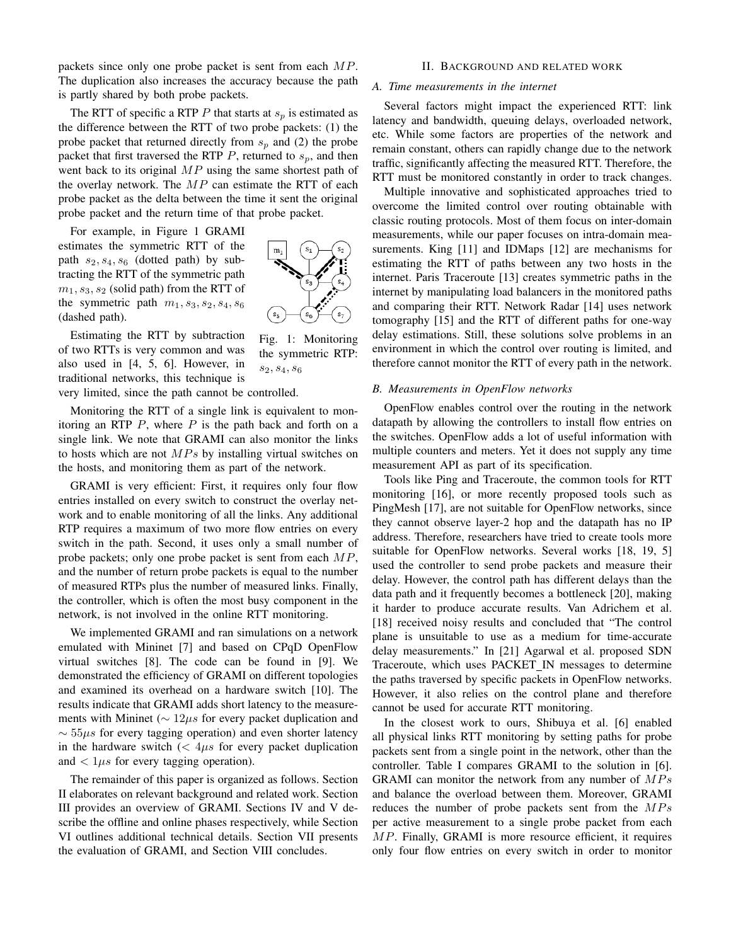packets since only one probe packet is sent from each MP. The duplication also increases the accuracy because the path is partly shared by both probe packets.

The RTT of specific a RTP P that starts at  $s_p$  is estimated as the difference between the RTT of two probe packets: (1) the probe packet that returned directly from  $s_p$  and (2) the probe packet that first traversed the RTP  $P$ , returned to  $s_p$ , and then went back to its original  $MP$  using the same shortest path of the overlay network. The  $MP$  can estimate the RTT of each probe packet as the delta between the time it sent the original probe packet and the return time of that probe packet.

For example, in Figure 1 GRAMI estimates the symmetric RTT of the path  $s_2, s_4, s_6$  (dotted path) by subtracting the RTT of the symmetric path  $m_1, s_3, s_2$  (solid path) from the RTT of the symmetric path  $m_1$ ,  $s_3$ ,  $s_2$ ,  $s_4$ ,  $s_6$ (dashed path).

Estimating the RTT by subtraction of two RTTs is very common and was also used in [4, 5, 6]. However, in traditional networks, this technique is

very limited, since the path cannot be controlled.

Monitoring the RTT of a single link is equivalent to monitoring an RTP  $P$ , where  $P$  is the path back and forth on a single link. We note that GRAMI can also monitor the links to hosts which are not  $MPs$  by installing virtual switches on the hosts, and monitoring them as part of the network.

GRAMI is very efficient: First, it requires only four flow entries installed on every switch to construct the overlay network and to enable monitoring of all the links. Any additional RTP requires a maximum of two more flow entries on every switch in the path. Second, it uses only a small number of probe packets; only one probe packet is sent from each  $MP$ , and the number of return probe packets is equal to the number of measured RTPs plus the number of measured links. Finally, the controller, which is often the most busy component in the network, is not involved in the online RTT monitoring.

We implemented GRAMI and ran simulations on a network emulated with Mininet [7] and based on CPqD OpenFlow virtual switches [8]. The code can be found in [9]. We demonstrated the efficiency of GRAMI on different topologies and examined its overhead on a hardware switch [10]. The results indicate that GRAMI adds short latency to the measurements with Mininet ( $\sim 12 \mu s$  for every packet duplication and  $\sim$  55 $\mu$ s for every tagging operation) and even shorter latency in the hardware switch  $\ll$  4 $\mu$ s for every packet duplication and  $\langle 1\mu s \rangle$  for every tagging operation).

The remainder of this paper is organized as follows. Section II elaborates on relevant background and related work. Section III provides an overview of GRAMI. Sections IV and V describe the offline and online phases respectively, while Section VI outlines additional technical details. Section VII presents the evaluation of GRAMI, and Section VIII concludes.

## II. BACKGROUND AND RELATED WORK

## *A. Time measurements in the internet*

Several factors might impact the experienced RTT: link latency and bandwidth, queuing delays, overloaded network, etc. While some factors are properties of the network and remain constant, others can rapidly change due to the network traffic, significantly affecting the measured RTT. Therefore, the RTT must be monitored constantly in order to track changes.

Multiple innovative and sophisticated approaches tried to overcome the limited control over routing obtainable with classic routing protocols. Most of them focus on inter-domain measurements, while our paper focuses on intra-domain measurements. King [11] and IDMaps [12] are mechanisms for estimating the RTT of paths between any two hosts in the internet. Paris Traceroute [13] creates symmetric paths in the internet by manipulating load balancers in the monitored paths and comparing their RTT. Network Radar [14] uses network tomography [15] and the RTT of different paths for one-way delay estimations. Still, these solutions solve problems in an environment in which the control over routing is limited, and therefore cannot monitor the RTT of every path in the network.

#### *B. Measurements in OpenFlow networks*

OpenFlow enables control over the routing in the network datapath by allowing the controllers to install flow entries on the switches. OpenFlow adds a lot of useful information with multiple counters and meters. Yet it does not supply any time measurement API as part of its specification.

Tools like Ping and Traceroute, the common tools for RTT monitoring [16], or more recently proposed tools such as PingMesh [17], are not suitable for OpenFlow networks, since they cannot observe layer-2 hop and the datapath has no IP address. Therefore, researchers have tried to create tools more suitable for OpenFlow networks. Several works [18, 19, 5] used the controller to send probe packets and measure their delay. However, the control path has different delays than the data path and it frequently becomes a bottleneck [20], making it harder to produce accurate results. Van Adrichem et al. [18] received noisy results and concluded that "The control plane is unsuitable to use as a medium for time-accurate delay measurements." In [21] Agarwal et al. proposed SDN Traceroute, which uses PACKET IN messages to determine the paths traversed by specific packets in OpenFlow networks. However, it also relies on the control plane and therefore cannot be used for accurate RTT monitoring.

In the closest work to ours, Shibuya et al. [6] enabled all physical links RTT monitoring by setting paths for probe packets sent from a single point in the network, other than the controller. Table I compares GRAMI to the solution in [6]. GRAMI can monitor the network from any number of  $MPs$ and balance the overload between them. Moreover, GRAMI reduces the number of probe packets sent from the  $MPs$ per active measurement to a single probe packet from each MP. Finally, GRAMI is more resource efficient, it requires only four flow entries on every switch in order to monitor



Fig. 1: Monitoring the symmetric RTP:

 $s_2, s_4, s_6$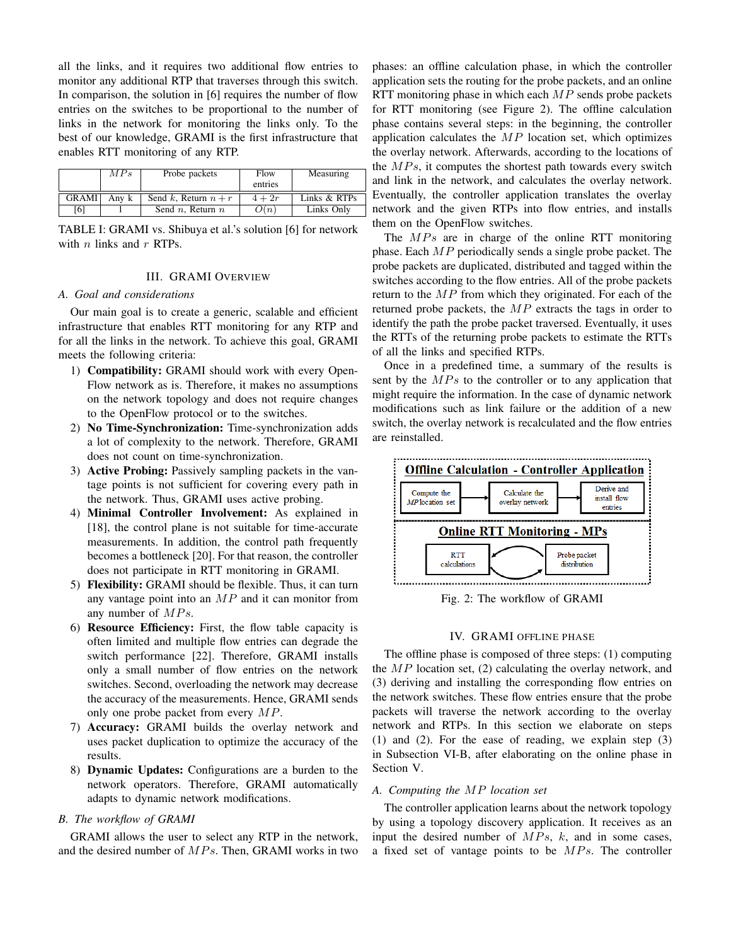all the links, and it requires two additional flow entries to monitor any additional RTP that traverses through this switch. In comparison, the solution in [6] requires the number of flow entries on the switches to be proportional to the number of links in the network for monitoring the links only. To the best of our knowledge, GRAMI is the first infrastructure that enables RTT monitoring of any RTP.

|              | MPs   | Probe packets          | Flow<br>entries | Measuring    |
|--------------|-------|------------------------|-----------------|--------------|
| <b>GRAMI</b> | Anv k | Send k, Return $n + r$ | $4+2r$          | Links & RTPs |
| [6]          |       | Send $n$ , Return $n$  | O(n)            | Links Only   |

TABLE I: GRAMI vs. Shibuya et al.'s solution [6] for network with  $n$  links and  $r$  RTPs.

## III. GRAMI OVERVIEW

# *A. Goal and considerations*

Our main goal is to create a generic, scalable and efficient infrastructure that enables RTT monitoring for any RTP and for all the links in the network. To achieve this goal, GRAMI meets the following criteria:

- 1) Compatibility: GRAMI should work with every Open-Flow network as is. Therefore, it makes no assumptions on the network topology and does not require changes to the OpenFlow protocol or to the switches.
- 2) No Time-Synchronization: Time-synchronization adds a lot of complexity to the network. Therefore, GRAMI does not count on time-synchronization.
- 3) Active Probing: Passively sampling packets in the vantage points is not sufficient for covering every path in the network. Thus, GRAMI uses active probing.
- 4) Minimal Controller Involvement: As explained in [18], the control plane is not suitable for time-accurate measurements. In addition, the control path frequently becomes a bottleneck [20]. For that reason, the controller does not participate in RTT monitoring in GRAMI.
- 5) Flexibility: GRAMI should be flexible. Thus, it can turn any vantage point into an  $MP$  and it can monitor from any number of  $MPs$ .
- 6) Resource Efficiency: First, the flow table capacity is often limited and multiple flow entries can degrade the switch performance [22]. Therefore, GRAMI installs only a small number of flow entries on the network switches. Second, overloading the network may decrease the accuracy of the measurements. Hence, GRAMI sends only one probe packet from every MP.
- 7) Accuracy: GRAMI builds the overlay network and uses packet duplication to optimize the accuracy of the results.
- 8) Dynamic Updates: Configurations are a burden to the network operators. Therefore, GRAMI automatically adapts to dynamic network modifications.

# *B. The workflow of GRAMI*

GRAMI allows the user to select any RTP in the network, and the desired number of  $MPs$ . Then, GRAMI works in two phases: an offline calculation phase, in which the controller application sets the routing for the probe packets, and an online RTT monitoring phase in which each  $MP$  sends probe packets for RTT monitoring (see Figure 2). The offline calculation phase contains several steps: in the beginning, the controller application calculates the  $MP$  location set, which optimizes the overlay network. Afterwards, according to the locations of the  $MPs$ , it computes the shortest path towards every switch and link in the network, and calculates the overlay network. Eventually, the controller application translates the overlay network and the given RTPs into flow entries, and installs them on the OpenFlow switches.

The  $MPs$  are in charge of the online RTT monitoring phase. Each  $MP$  periodically sends a single probe packet. The probe packets are duplicated, distributed and tagged within the switches according to the flow entries. All of the probe packets return to the  $MP$  from which they originated. For each of the returned probe packets, the MP extracts the tags in order to identify the path the probe packet traversed. Eventually, it uses the RTTs of the returning probe packets to estimate the RTTs of all the links and specified RTPs.

Once in a predefined time, a summary of the results is sent by the  $MPs$  to the controller or to any application that might require the information. In the case of dynamic network modifications such as link failure or the addition of a new switch, the overlay network is recalculated and the flow entries are reinstalled.



Fig. 2: The workflow of GRAMI

## IV. GRAMI OFFLINE PHASE

The offline phase is composed of three steps: (1) computing the  $MP$  location set, (2) calculating the overlay network, and (3) deriving and installing the corresponding flow entries on the network switches. These flow entries ensure that the probe packets will traverse the network according to the overlay network and RTPs. In this section we elaborate on steps (1) and (2). For the ease of reading, we explain step (3) in Subsection VI-B, after elaborating on the online phase in Section V.

## *A. Computing the* MP *location set*

The controller application learns about the network topology by using a topology discovery application. It receives as an input the desired number of  $MPs$ , k, and in some cases, a fixed set of vantage points to be  $MPs$ . The controller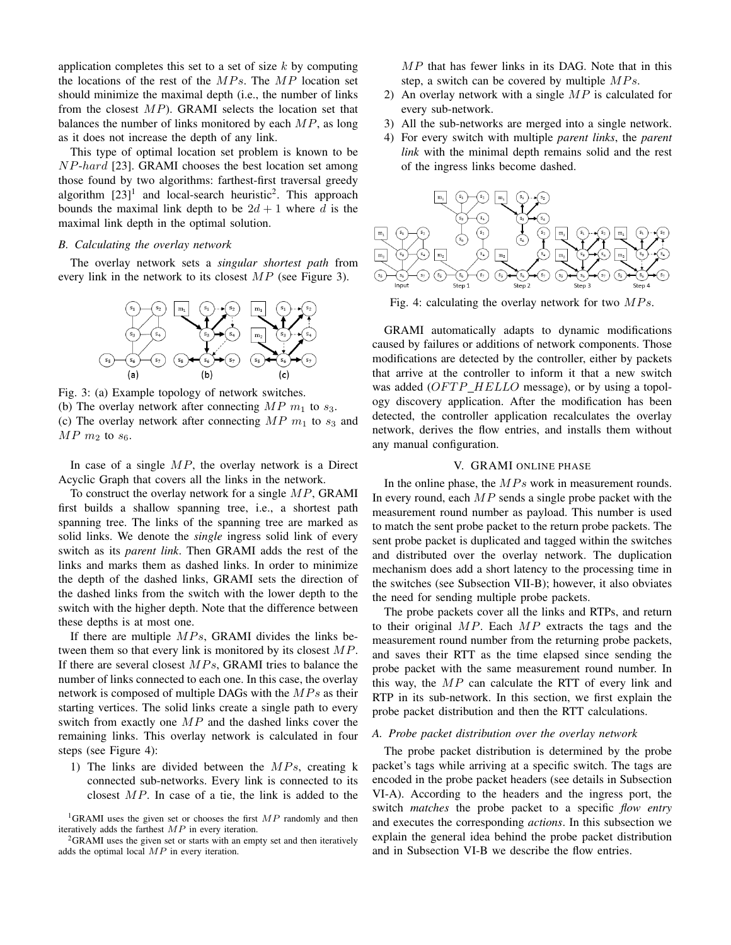application completes this set to a set of size  $k$  by computing the locations of the rest of the  $MPs$ . The  $MP$  location set should minimize the maximal depth (i.e., the number of links from the closest  $MP$ ). GRAMI selects the location set that balances the number of links monitored by each  $MP$ , as long as it does not increase the depth of any link.

This type of optimal location set problem is known to be NP-hard [23]. GRAMI chooses the best location set among those found by two algorithms: farthest-first traversal greedy algorithm  $[23]$ <sup>1</sup> and local-search heuristic<sup>2</sup>. This approach bounds the maximal link depth to be  $2d + 1$  where d is the maximal link depth in the optimal solution.

#### *B. Calculating the overlay network*

The overlay network sets a *singular shortest path* from every link in the network to its closest MP (see Figure 3).



Fig. 3: (a) Example topology of network switches. (b) The overlay network after connecting  $MP \; m_1$  to  $s_3$ . (c) The overlay network after connecting  $MP \, m_1$  to  $s_3$  and  $MP$   $m_2$  to  $s_6$ .

In case of a single  $MP$ , the overlay network is a Direct Acyclic Graph that covers all the links in the network.

To construct the overlay network for a single MP, GRAMI first builds a shallow spanning tree, i.e., a shortest path spanning tree. The links of the spanning tree are marked as solid links. We denote the *single* ingress solid link of every switch as its *parent link*. Then GRAMI adds the rest of the links and marks them as dashed links. In order to minimize the depth of the dashed links, GRAMI sets the direction of the dashed links from the switch with the lower depth to the switch with the higher depth. Note that the difference between these depths is at most one.

If there are multiple  $MPs$ , GRAMI divides the links between them so that every link is monitored by its closest  $MP$ . If there are several closest  $MPs$ , GRAMI tries to balance the number of links connected to each one. In this case, the overlay network is composed of multiple DAGs with the  $MPs$  as their starting vertices. The solid links create a single path to every switch from exactly one  $MP$  and the dashed links cover the remaining links. This overlay network is calculated in four steps (see Figure 4):

1) The links are divided between the  $MPs$ , creating k connected sub-networks. Every link is connected to its closest  $MP$ . In case of a tie, the link is added to the

 ${}^{2}$ GRAMI uses the given set or starts with an empty set and then iteratively adds the optimal local  $MP$  in every iteration.

MP that has fewer links in its DAG. Note that in this step, a switch can be covered by multiple  $MPs$ .

- 2) An overlay network with a single  $MP$  is calculated for every sub-network.
- 3) All the sub-networks are merged into a single network.
- 4) For every switch with multiple *parent links*, the *parent link* with the minimal depth remains solid and the rest of the ingress links become dashed.



Fig. 4: calculating the overlay network for two  $MPs$ .

GRAMI automatically adapts to dynamic modifications caused by failures or additions of network components. Those modifications are detected by the controller, either by packets that arrive at the controller to inform it that a new switch was added  $(OFTP$   $HELLO$  message), or by using a topology discovery application. After the modification has been detected, the controller application recalculates the overlay network, derives the flow entries, and installs them without any manual configuration.

## V. GRAMI ONLINE PHASE

In the online phase, the  $MPs$  work in measurement rounds. In every round, each  $MP$  sends a single probe packet with the measurement round number as payload. This number is used to match the sent probe packet to the return probe packets. The sent probe packet is duplicated and tagged within the switches and distributed over the overlay network. The duplication mechanism does add a short latency to the processing time in the switches (see Subsection VII-B); however, it also obviates the need for sending multiple probe packets.

The probe packets cover all the links and RTPs, and return to their original  $MP$ . Each  $MP$  extracts the tags and the measurement round number from the returning probe packets, and saves their RTT as the time elapsed since sending the probe packet with the same measurement round number. In this way, the  $MP$  can calculate the RTT of every link and RTP in its sub-network. In this section, we first explain the probe packet distribution and then the RTT calculations.

### *A. Probe packet distribution over the overlay network*

The probe packet distribution is determined by the probe packet's tags while arriving at a specific switch. The tags are encoded in the probe packet headers (see details in Subsection VI-A). According to the headers and the ingress port, the switch *matches* the probe packet to a specific *flow entry* and executes the corresponding *actions*. In this subsection we explain the general idea behind the probe packet distribution and in Subsection VI-B we describe the flow entries.

<sup>&</sup>lt;sup>1</sup>GRAMI uses the given set or chooses the first  $MP$  randomly and then iteratively adds the farthest  $MP$  in every iteration.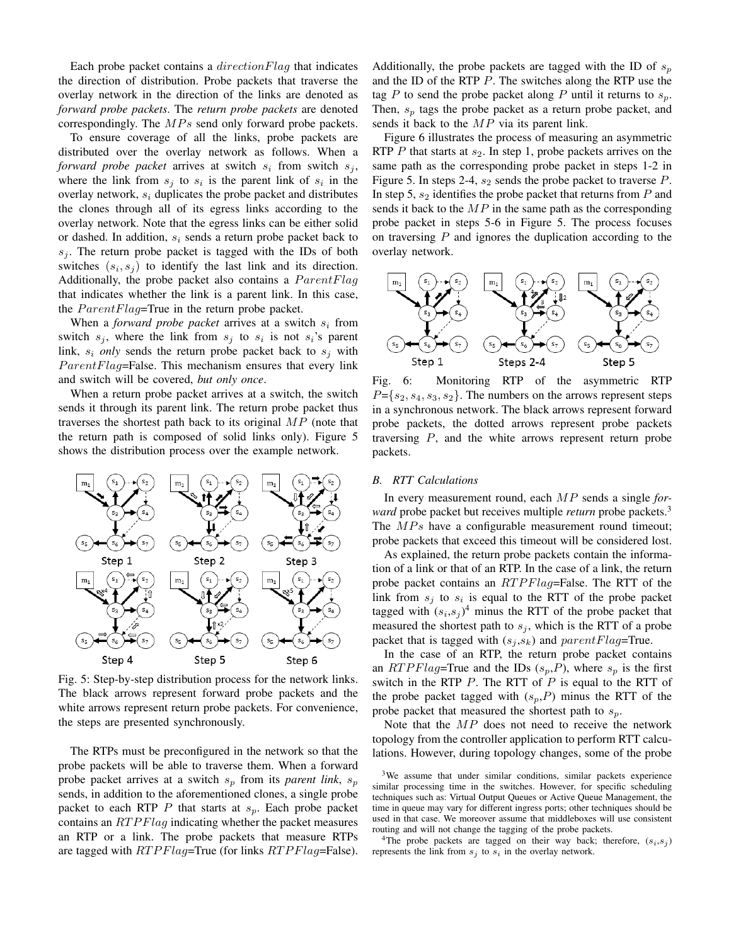Each probe packet contains a  $directionFlag$  that indicates the direction of distribution. Probe packets that traverse the overlay network in the direction of the links are denoted as *forward probe packets*. The *return probe packets* are denoted correspondingly. The  $MPs$  send only forward probe packets.

To ensure coverage of all the links, probe packets are distributed over the overlay network as follows. When a *forward probe packet* arrives at switch  $s_i$  from switch  $s_j$ , where the link from  $s_j$  to  $s_i$  is the parent link of  $s_i$  in the overlay network,  $s_i$  duplicates the probe packet and distributes the clones through all of its egress links according to the overlay network. Note that the egress links can be either solid or dashed. In addition,  $s_i$  sends a return probe packet back to  $s_i$ . The return probe packet is tagged with the IDs of both switches  $(s_i, s_j)$  to identify the last link and its direction. Additionally, the probe packet also contains a  $ParentFlag$ that indicates whether the link is a parent link. In this case, the  $ParentFlag = True$  in the return probe packet.

When a *forward probe packet* arrives at a switch  $s_i$  from switch  $s_j$ , where the link from  $s_j$  to  $s_i$  is not  $s_i$ 's parent link,  $s_i$  *only* sends the return probe packet back to  $s_j$  with  $ParentFlag = False$ . This mechanism ensures that every link and switch will be covered, *but only once*.

When a return probe packet arrives at a switch, the switch sends it through its parent link. The return probe packet thus traverses the shortest path back to its original  $MP$  (note that the return path is composed of solid links only). Figure 5 shows the distribution process over the example network.



Fig. 5: Step-by-step distribution process for the network links. The black arrows represent forward probe packets and the white arrows represent return probe packets. For convenience, the steps are presented synchronously.

The RTPs must be preconfigured in the network so that the probe packets will be able to traverse them. When a forward probe packet arrives at a switch  $s_p$  from its *parent link*,  $s_p$ sends, in addition to the aforementioned clones, a single probe packet to each RTP P that starts at  $s_n$ . Each probe packet contains an  $RTPFlaq$  indicating whether the packet measures an RTP or a link. The probe packets that measure RTPs are tagged with RTPFlag=True (for links RTPFlag=False).

Additionally, the probe packets are tagged with the ID of  $s_p$ and the ID of the RTP P. The switches along the RTP use the tag P to send the probe packet along P until it returns to  $s_p$ . Then,  $s_p$  tags the probe packet as a return probe packet, and sends it back to the  $MP$  via its parent link.

Figure 6 illustrates the process of measuring an asymmetric RTP  $P$  that starts at  $s_2$ . In step 1, probe packets arrives on the same path as the corresponding probe packet in steps 1-2 in Figure 5. In steps 2-4,  $s_2$  sends the probe packet to traverse  $P$ . In step 5,  $s_2$  identifies the probe packet that returns from  $P$  and sends it back to the  $MP$  in the same path as the corresponding probe packet in steps 5-6 in Figure 5. The process focuses on traversing  $P$  and ignores the duplication according to the overlay network.



Fig. 6: Monitoring RTP of the asymmetric RTP  $P=\{s_2, s_4, s_3, s_2\}$ . The numbers on the arrows represent steps in a synchronous network. The black arrows represent forward probe packets, the dotted arrows represent probe packets traversing P, and the white arrows represent return probe packets.

#### *B. RTT Calculations*

In every measurement round, each MP sends a single *forward* probe packet but receives multiple *return* probe packets.<sup>3</sup> The  $MPs$  have a configurable measurement round timeout; probe packets that exceed this timeout will be considered lost.

As explained, the return probe packets contain the information of a link or that of an RTP. In the case of a link, the return probe packet contains an  $RTPFlag = False$ . The RTT of the link from  $s_j$  to  $s_i$  is equal to the RTT of the probe packet tagged with  $(s_i, s_j)^4$  minus the RTT of the probe packet that measured the shortest path to  $s_j$ , which is the RTT of a probe packet that is tagged with  $(s_i, s_k)$  and  $parentFlag = True$ .

In the case of an RTP, the return probe packet contains an RTPFlag=True and the IDs  $(s_p, P)$ , where  $s_p$  is the first switch in the RTP  $P$ . The RTT of  $P$  is equal to the RTT of the probe packet tagged with  $(s_p, P)$  minus the RTT of the probe packet that measured the shortest path to  $s_n$ .

Note that the MP does not need to receive the network topology from the controller application to perform RTT calculations. However, during topology changes, some of the probe

<sup>4</sup>The probe packets are tagged on their way back; therefore,  $(s_i, s_j)$ represents the link from  $s_j$  to  $s_i$  in the overlay network.

 $3$ We assume that under similar conditions, similar packets experience similar processing time in the switches. However, for specific scheduling techniques such as: Virtual Output Queues or Active Queue Management, the time in queue may vary for different ingress ports; other techniques should be used in that case. We moreover assume that middleboxes will use consistent routing and will not change the tagging of the probe packets.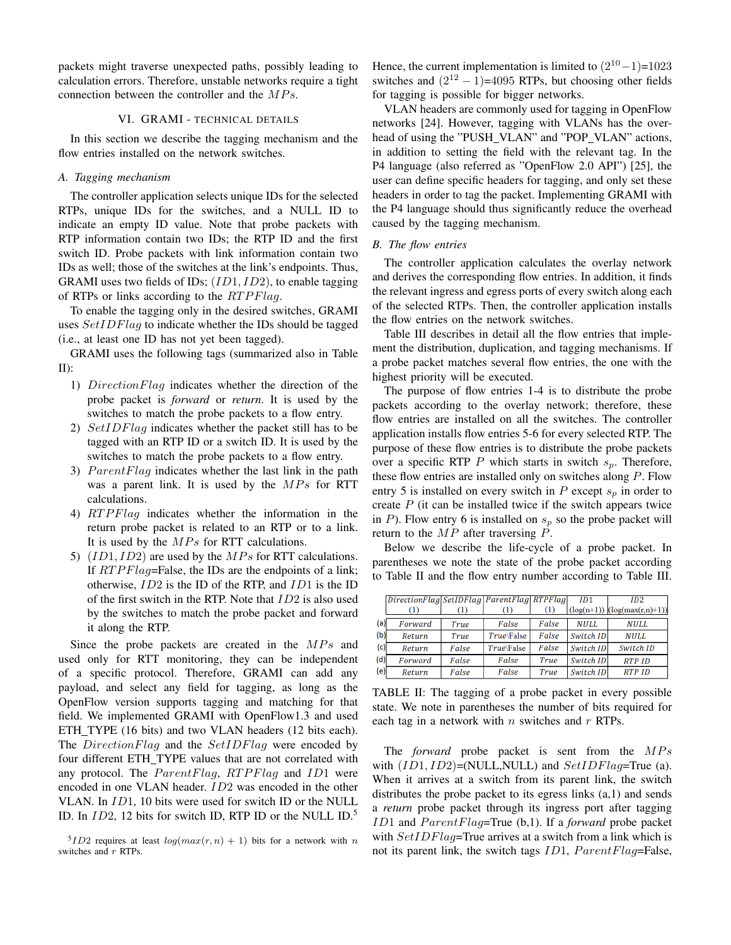packets might traverse unexpected paths, possibly leading to calculation errors. Therefore, unstable networks require a tight connection between the controller and the  $MPs$ .

### VI. GRAMI - TECHNICAL DETAILS

In this section we describe the tagging mechanism and the flow entries installed on the network switches.

## *A. Tagging mechanism*

The controller application selects unique IDs for the selected RTPs, unique IDs for the switches, and a NULL ID to indicate an empty ID value. Note that probe packets with RTP information contain two IDs; the RTP ID and the first switch ID. Probe packets with link information contain two IDs as well; those of the switches at the link's endpoints. Thus, GRAMI uses two fields of IDs;  $(ID1, ID2)$ , to enable tagging of RTPs or links according to the  $RTPFlag$ .

To enable the tagging only in the desired switches, GRAMI uses  $SetIDFlag$  to indicate whether the IDs should be tagged (i.e., at least one ID has not yet been tagged).

GRAMI uses the following tags (summarized also in Table II):

- 1) DirectionFlag indicates whether the direction of the probe packet is *forward* or *return*. It is used by the switches to match the probe packets to a flow entry.
- 2) SetIDFlag indicates whether the packet still has to be tagged with an RTP ID or a switch ID. It is used by the switches to match the probe packets to a flow entry.
- 3)  $ParentFlag$  indicates whether the last link in the path was a parent link. It is used by the  $MPs$  for RTT calculations.
- 4) RTPFlaq indicates whether the information in the return probe packet is related to an RTP or to a link. It is used by the  $MPs$  for RTT calculations.
- 5)  $(ID1, ID2)$  are used by the  $MPs$  for RTT calculations. If  $RTPFlag = False$ , the IDs are the endpoints of a link; otherwise, ID2 is the ID of the RTP, and ID1 is the ID of the first switch in the RTP. Note that ID2 is also used by the switches to match the probe packet and forward it along the RTP.

Since the probe packets are created in the  $MPs$  and used only for RTT monitoring, they can be independent of a specific protocol. Therefore, GRAMI can add any payload, and select any field for tagging, as long as the OpenFlow version supports tagging and matching for that field. We implemented GRAMI with OpenFlow1.3 and used ETH TYPE (16 bits) and two VLAN headers (12 bits each). The *DirectionFlag* and the *SetIDFlag* were encoded by four different ETH TYPE values that are not correlated with any protocol. The  $ParentFlag$ ,  $RTPFlag$  and  $ID1$  were encoded in one VLAN header. ID2 was encoded in the other VLAN. In ID1, 10 bits were used for switch ID or the NULL ID. In  $ID2$ , 12 bits for switch ID, RTP ID or the NULL ID.<sup>5</sup>

Hence, the current implementation is limited to  $(2^{10}-1)=1023$ switches and  $(2^{12} – 1) = 4095$  RTPs, but choosing other fields for tagging is possible for bigger networks.

VLAN headers are commonly used for tagging in OpenFlow networks [24]. However, tagging with VLANs has the overhead of using the "PUSH\_VLAN" and "POP\_VLAN" actions, in addition to setting the field with the relevant tag. In the P4 language (also referred as "OpenFlow 2.0 API") [25], the user can define specific headers for tagging, and only set these headers in order to tag the packet. Implementing GRAMI with the P4 language should thus significantly reduce the overhead caused by the tagging mechanism.

#### *B. The flow entries*

The controller application calculates the overlay network and derives the corresponding flow entries. In addition, it finds the relevant ingress and egress ports of every switch along each of the selected RTPs. Then, the controller application installs the flow entries on the network switches.

Table III describes in detail all the flow entries that implement the distribution, duplication, and tagging mechanisms. If a probe packet matches several flow entries, the one with the highest priority will be executed.

The purpose of flow entries 1-4 is to distribute the probe packets according to the overlay network; therefore, these flow entries are installed on all the switches. The controller application installs flow entries 5-6 for every selected RTP. The purpose of these flow entries is to distribute the probe packets over a specific RTP P which starts in switch  $s_p$ . Therefore, these flow entries are installed only on switches along  $P$ . Flow entry 5 is installed on every switch in  $P$  except  $s_p$  in order to create  $P$  (it can be installed twice if the switch appears twice in P). Flow entry 6 is installed on  $s_n$  so the probe packet will return to the  $MP$  after traversing  $P$ .

Below we describe the life-cycle of a probe packet. In parentheses we note the state of the probe packet according to Table II and the flow entry number according to Table III.

|     | DirectionFlag SetIDFlag   ParentFlag   RTPFlag |                  |            |       | ID1         | ID2.                                |
|-----|------------------------------------------------|------------------|------------|-------|-------------|-------------------------------------|
|     |                                                | $\left(1\right)$ |            | (1)   |             | $(\log(n+1))$ $(\log(\max(r,n)+1))$ |
| (a) | Forward                                        | True             | False      | False | <b>NULL</b> | NULL.                               |
| (b) | Return                                         | True             | True\False | False | Switch ID   | <b>NULL</b>                         |
| (c) | Return                                         | False            | True\False | False | Switch ID   | Switch ID                           |
| (d) | Forward                                        | False            | False      | True  | Switch ID   | <b>RTP ID</b>                       |
| (e) | Return                                         | False            | False      | True  | Switch ID   | <b>RTP ID</b>                       |

TABLE II: The tagging of a probe packet in every possible state. We note in parentheses the number of bits required for each tag in a network with  $n$  switches and  $r$  RTPs.

The *forward* probe packet is sent from the MPs with  $(ID1, ID2) = (NULL, NULL)$  and  $SetIDFlag = True$  (a). When it arrives at a switch from its parent link, the switch distributes the probe packet to its egress links (a,1) and sends a *return* probe packet through its ingress port after tagging ID1 and *ParentFlag*=True (b,1). If a *forward* probe packet with  $SetIDFlag$ =True arrives at a switch from a link which is not its parent link, the switch tags  $ID1$ ,  $ParentFlag = False$ ,

<sup>&</sup>lt;sup>5</sup>*ID*2 requires at least  $log(max(r, n) + 1)$  bits for a network with *n* switches and r RTPs.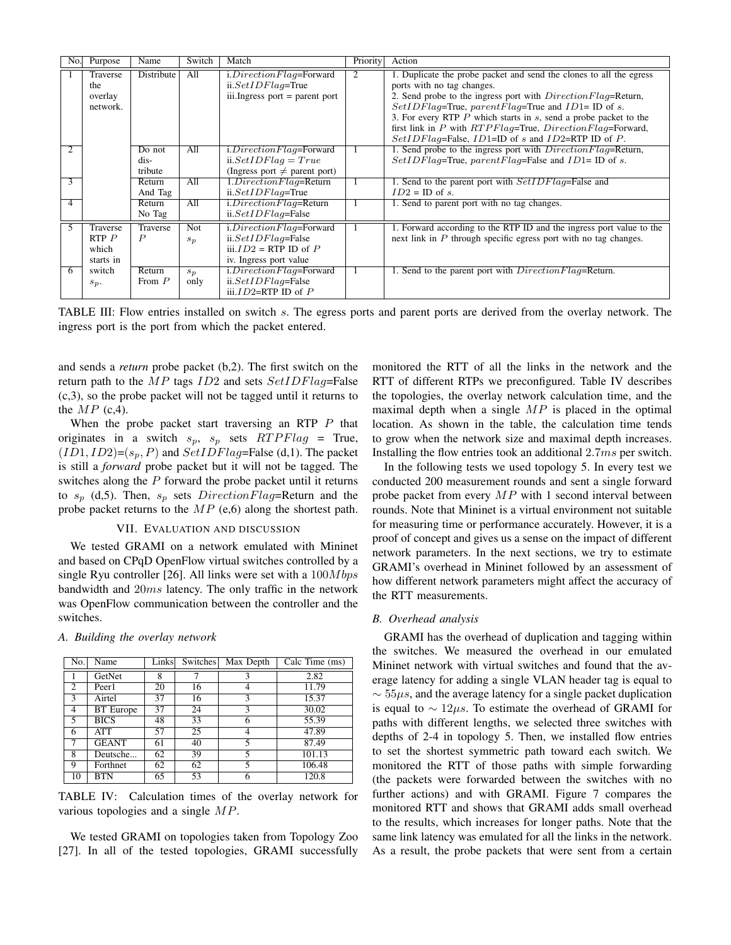| No.           | Purpose                                     | Name                         | Switch              | Match                                                                                                   | Priority | Action                                                                                                                                                                                                                                                                                                                                                                                                                           |
|---------------|---------------------------------------------|------------------------------|---------------------|---------------------------------------------------------------------------------------------------------|----------|----------------------------------------------------------------------------------------------------------------------------------------------------------------------------------------------------------------------------------------------------------------------------------------------------------------------------------------------------------------------------------------------------------------------------------|
|               | Traverse<br>the<br>overlay<br>network.      | Distribute                   | All                 | i.DirectionFlag=Forward<br>$ii. SetIDFlag = True$<br>$iii. Ingress$ port = parent port                  | 2        | 1. Duplicate the probe packet and send the clones to all the egress<br>ports with no tag changes.<br>2. Send probe to the ingress port with <i>Direction Flag</i> =Return,<br>$SetIDFlag = True$ , parent Flag=True and ID1= ID of s.<br>3. For every RTP $P$ which starts in $s$ , send a probe packet to the<br>first link in P with RTPFlag=True, DirectionFlag=Forward,<br>SetIDFlag=False, ID1=ID of s and ID2=RTP ID of P. |
|               |                                             | Do not<br>dis-<br>tribute    | All                 | i.DirectionFlag=Forward<br>$ii. SetIDFlag = True$<br>(Ingress port $\neq$ parent port)                  |          | 1. Send probe to the ingress port with <i>Direction Flag</i> =Return,<br>$SetIDFlag = True$ , parent Flaq = False and ID1 = ID of s.                                                                                                                                                                                                                                                                                             |
| $\mathcal{F}$ |                                             | Return<br>And Tag            | All                 | $1. DirectionFlag = Return$<br>$ii. SetIDFlag = True$                                                   |          | 1. Send to the parent port with SetIDFlag=False and<br>$ID2 = ID$ of s.                                                                                                                                                                                                                                                                                                                                                          |
| 4             |                                             | Return<br>No Tag             | All                 | $i. DirectionFlag = Return$<br>$ii. SetIDFlag = False$                                                  |          | 1. Send to parent port with no tag changes.                                                                                                                                                                                                                                                                                                                                                                                      |
|               | Traverse<br>$RTP$ $P$<br>which<br>starts in | Traverse<br>$\boldsymbol{P}$ | <b>Not</b><br>$s_p$ | i.DirectionFlag=Forward<br>$ii. SetIDFlag = False$<br>$ii. ID2 = RTP$ ID of P<br>iv. Ingress port value |          | 1. Forward according to the RTP ID and the ingress port value to the<br>next link in $P$ through specific egress port with no tag changes.                                                                                                                                                                                                                                                                                       |
| 6             | switch<br>$s_p$ .                           | Return<br>From $P$           | $s_p$<br>only       | i.DirectionFlag=Forward<br>$ii. SetIDFlag = False$<br>iii. $ID2=RTPID$ of $P$                           | -1       | 1. Send to the parent port with <i>Direction Flag</i> =Return.                                                                                                                                                                                                                                                                                                                                                                   |

TABLE III: Flow entries installed on switch s. The egress ports and parent ports are derived from the overlay network. The ingress port is the port from which the packet entered.

and sends a *return* probe packet (b,2). The first switch on the return path to the  $MP$  tags  $ID2$  and sets  $SetIDFlag = False$ (c,3), so the probe packet will not be tagged until it returns to the  $MP$  (c,4).

When the probe packet start traversing an RTP  $P$  that originates in a switch  $s_p$ ,  $s_p$  sets  $RTPFlag = True$ ,  $(ID1, ID2)=(s_p, P)$  and  $SetIDFlag=False$  (d,1). The packet is still a *forward* probe packet but it will not be tagged. The switches along the  $P$  forward the probe packet until it returns to  $s_p$  (d,5). Then,  $s_p$  sets  $DirectionFlag = Return$  and the probe packet returns to the  $MP$  (e,6) along the shortest path.

#### VII. EVALUATION AND DISCUSSION

We tested GRAMI on a network emulated with Mininet and based on CPqD OpenFlow virtual switches controlled by a single Ryu controller [26]. All links were set with a  $100Mbps$ bandwidth and 20ms latency. The only traffic in the network was OpenFlow communication between the controller and the switches.

| No. | Name             | Links | Switches | Max Depth | Calc Time (ms) |
|-----|------------------|-------|----------|-----------|----------------|
|     | GetNet           | 8     |          |           | 2.82           |
| 2   | Peer1            | 20    | 16       |           | 11.79          |
| 3   | Airtel           | 37    | 16       | 3         | 15.37          |
| 4   | <b>BT</b> Europe | 37    | 24       | 3         | 30.02          |
| 5   | <b>BICS</b>      | 48    | 33       | h         | 55.39          |
| 6   | <b>ATT</b>       | 57    | 25       |           | 47.89          |
|     | <b>GEANT</b>     | 61    | 40       | 5         | 87.49          |
| 8   | Deutsche         | 62    | 39       | 5         | 101.13         |
| 9   | Forthnet         | 62    | 62       | 5         | 106.48         |
| 10  | BTN              | 65    | 53       |           | 120.8          |

## *A. Building the overlay network*

TABLE IV: Calculation times of the overlay network for various topologies and a single MP.

We tested GRAMI on topologies taken from Topology Zoo [27]. In all of the tested topologies, GRAMI successfully

monitored the RTT of all the links in the network and the RTT of different RTPs we preconfigured. Table IV describes the topologies, the overlay network calculation time, and the maximal depth when a single  $MP$  is placed in the optimal location. As shown in the table, the calculation time tends to grow when the network size and maximal depth increases. Installing the flow entries took an additional 2.7ms per switch.

In the following tests we used topology 5. In every test we conducted 200 measurement rounds and sent a single forward probe packet from every  $MP$  with 1 second interval between rounds. Note that Mininet is a virtual environment not suitable for measuring time or performance accurately. However, it is a proof of concept and gives us a sense on the impact of different network parameters. In the next sections, we try to estimate GRAMI's overhead in Mininet followed by an assessment of how different network parameters might affect the accuracy of the RTT measurements.

## *B. Overhead analysis*

GRAMI has the overhead of duplication and tagging within the switches. We measured the overhead in our emulated Mininet network with virtual switches and found that the average latency for adding a single VLAN header tag is equal to  $\sim$  55 $\mu$ s, and the average latency for a single packet duplication is equal to  $\sim 12 \mu s$ . To estimate the overhead of GRAMI for paths with different lengths, we selected three switches with depths of 2-4 in topology 5. Then, we installed flow entries to set the shortest symmetric path toward each switch. We monitored the RTT of those paths with simple forwarding (the packets were forwarded between the switches with no further actions) and with GRAMI. Figure 7 compares the monitored RTT and shows that GRAMI adds small overhead to the results, which increases for longer paths. Note that the same link latency was emulated for all the links in the network. As a result, the probe packets that were sent from a certain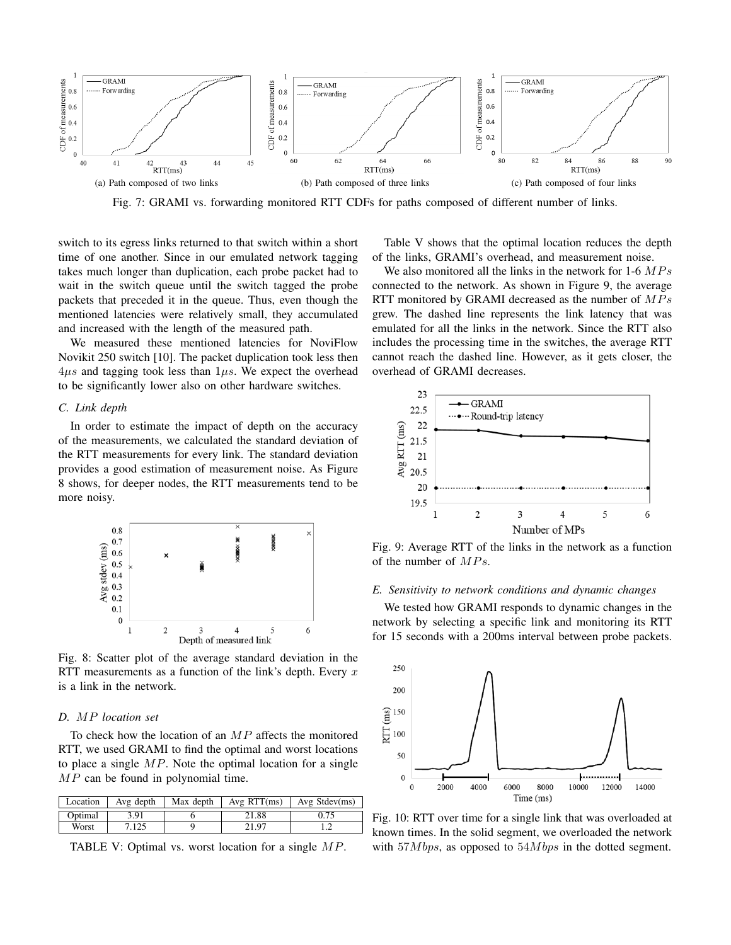

Fig. 7: GRAMI vs. forwarding monitored RTT CDFs for paths composed of different number of links.

switch to its egress links returned to that switch within a short time of one another. Since in our emulated network tagging takes much longer than duplication, each probe packet had to wait in the switch queue until the switch tagged the probe packets that preceded it in the queue. Thus, even though the mentioned latencies were relatively small, they accumulated and increased with the length of the measured path.

We measured these mentioned latencies for NoviFlow Novikit 250 switch [10]. The packet duplication took less then  $4\mu s$  and tagging took less than  $1\mu s$ . We expect the overhead to be significantly lower also on other hardware switches.

## *C. Link depth*

In order to estimate the impact of depth on the accuracy of the measurements, we calculated the standard deviation of the RTT measurements for every link. The standard deviation provides a good estimation of measurement noise. As Figure 8 shows, for deeper nodes, the RTT measurements tend to be more noisy.



Fig. 8: Scatter plot of the average standard deviation in the RTT measurements as a function of the link's depth. Every  $x$ is a link in the network.

# *D.* MP *location set*

To check how the location of an  $MP$  affects the monitored RTT, we used GRAMI to find the optimal and worst locations to place a single  $MP$ . Note the optimal location for a single  $MP$  can be found in polynomial time.

| Location | Avg depth | Max depth | Avg RTT(ms) | Avg Stdev $(ms)$ |
|----------|-----------|-----------|-------------|------------------|
| Optimal  | 3.91      |           | 21.88       |                  |
| Worst    | 7.125     |           | 21.97       |                  |

TABLE V: Optimal vs. worst location for a single MP.

Table V shows that the optimal location reduces the depth of the links, GRAMI's overhead, and measurement noise.

We also monitored all the links in the network for 1-6  $MPs$ connected to the network. As shown in Figure 9, the average RTT monitored by GRAMI decreased as the number of  $MPs$ grew. The dashed line represents the link latency that was emulated for all the links in the network. Since the RTT also includes the processing time in the switches, the average RTT cannot reach the dashed line. However, as it gets closer, the overhead of GRAMI decreases.



Fig. 9: Average RTT of the links in the network as a function of the number of  $MPs$ .

# *E. Sensitivity to network conditions and dynamic changes*

We tested how GRAMI responds to dynamic changes in the network by selecting a specific link and monitoring its RTT for 15 seconds with a 200ms interval between probe packets.



Fig. 10: RTT over time for a single link that was overloaded at known times. In the solid segment, we overloaded the network with  $57Mbps$ , as opposed to  $54Mbps$  in the dotted segment.